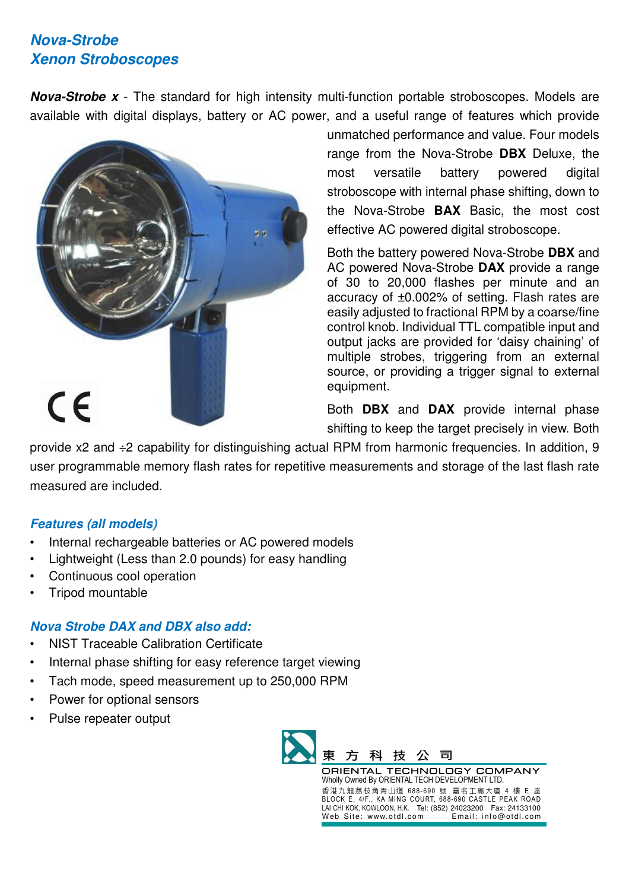# *Nova-Strobe Xenon Stroboscopes*

*Nova-Strobe x* - The standard for high intensity multi-function portable stroboscopes. Models are available with digital displays, battery or AC power, and a useful range of features which provide



unmatched performance and value. Four models range from the Nova-Strobe **DBX** Deluxe, the most versatile battery powered digital stroboscope with internal phase shifting, down to the Nova-Strobe **BAX** Basic, the most cost effective AC powered digital stroboscope.

Both the battery powered Nova-Strobe **DBX** and AC powered Nova-Strobe **DAX** provide a range of 30 to 20,000 flashes per minute and an accuracy of ±0.002% of setting. Flash rates are easily adjusted to fractional RPM by a coarse/fine control knob. Individual TTL compatible input and output jacks are provided for 'daisy chaining' of multiple strobes, triggering from an external source, or providing a trigger signal to external equipment.

Both **DBX** and **DAX** provide internal phase shifting to keep the target precisely in view. Both

provide x2 and ÷2 capability for distinguishing actual RPM from harmonic frequencies. In addition, 9 user programmable memory flash rates for repetitive measurements and storage of the last flash rate measured are included.

#### *Features (all models)*

- Internal rechargeable batteries or AC powered models
- Lightweight (Less than 2.0 pounds) for easy handling
- Continuous cool operation
- Tripod mountable

## *Nova Strobe DAX and DBX also add:*

- NIST Traceable Calibration Certificate
- Internal phase shifting for easy reference target viewing
- Tach mode, speed measurement up to 250,000 RPM
- Power for optional sensors
- Pulse repeater output



Wholly Owned By ORIENTAL TECH DEVELOPMENT LTD. 香港九龍荔枝角青山道 688- 690 號 嘉名工廠大廈 4 樓 E 座 BLOCK E, 4/F., KA MING COURT, 688-690 CASTLE PEAK ROAD LAI CHI KOK, KOWLOON, H.K. Tel: (852) 24023200 Fax: 24133100 Web Site: www.otdl.com Email: info@otdl.com